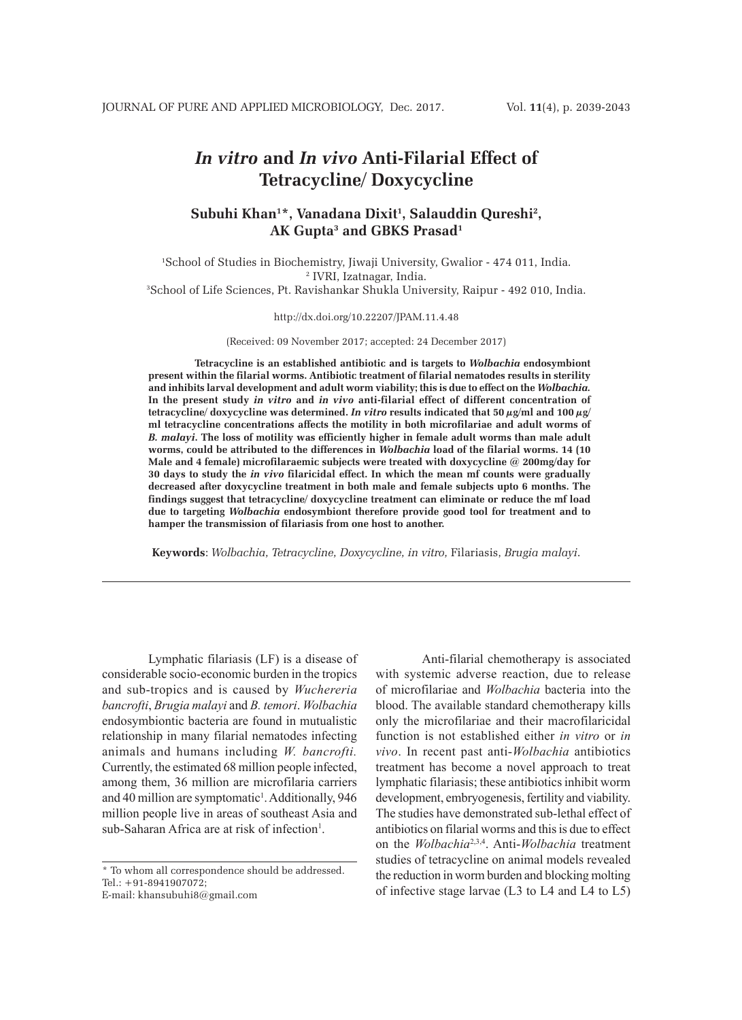# *In vitro* **and** *In vivo* **Anti-Filarial Effect of Tetracycline/ Doxycycline**

## **Subuhi Khan1 \*, Vanadana Dixit1 , Salauddin Qureshi2 , AK Gupta3 and GBKS Prasad1**

1 School of Studies in Biochemistry, Jiwaji University, Gwalior - 474 011, India. 2 IVRI, Izatnagar, India. 3 School of Life Sciences, Pt. Ravishankar Shukla University, Raipur - 492 010, India.

#### http://dx.doi.org/10.22207/JPAM.11.4.48

(Received: 09 November 2017; accepted: 24 December 2017)

**Tetracycline is an established antibiotic and is targets to** *Wolbachia* **endosymbiont present within the filarial worms. Antibiotic treatment of filarial nematodes results in sterility and inhibits larval development and adult worm viability; this is due to effect on the** *Wolbachia.* **In the present study** *in vitro* **and** *in vivo* **anti-filarial effect of different concentration of tetracycline/** doxycycline was determined. In vitro results indicated that  $50 \mu g/ml$  and  $100 \mu g$ **ml tetracycline concentrations affects the motility in both microfilariae and adult worms of**  *B. malayi***. The loss of motility was efficiently higher in female adult worms than male adult worms, could be attributed to the differences in** *Wolbachia* **load of the filarial worms. 14 (10 Male and 4 female) microfilaraemic subjects were treated with doxycycline @ 200mg/day for 30 days to study the** *in vivo* **filaricidal effect. In which the mean mf counts were gradually decreased after doxycycline treatment in both male and female subjects upto 6 months. The findings suggest that tetracycline/ doxycycline treatment can eliminate or reduce the mf load due to targeting** *Wolbachia* **endosymbiont therefore provide good tool for treatment and to hamper the transmission of filariasis from one host to another.** 

**Keywords**: *Wolbachia, Tetracycline, Doxycycline, in vitro,* Filariasis, *Brugia malayi*.

Lymphatic filariasis (LF) is a disease of considerable socio-economic burden in the tropics and sub-tropics and is caused by *Wuchereria bancrofti*, *Brugia malayi* and *B. temori*. *Wolbachia* endosymbiontic bacteria are found in mutualistic relationship in many filarial nematodes infecting animals and humans including *W. bancrofti.* Currently, the estimated 68 million people infected, among them, 36 million are microfilaria carriers and 40 million are symptomatic<sup>1</sup>. Additionally, 946 million people live in areas of southeast Asia and sub-Saharan Africa are at risk of infection<sup>1</sup>.

\* To whom all correspondence should be addressed.  $Tel \cdot +91 - 8941907072$ 

E-mail: khansubuhi8@gmail.com

Anti-filarial chemotherapy is associated with systemic adverse reaction, due to release of microfilariae and *Wolbachia* bacteria into the blood. The available standard chemotherapy kills only the microfilariae and their macrofilaricidal function is not established either *in vitro* or *in vivo*. In recent past anti-*Wolbachia* antibiotics treatment has become a novel approach to treat lymphatic filariasis; these antibiotics inhibit worm development, embryogenesis, fertility and viability. The studies have demonstrated sub-lethal effect of antibiotics on filarial worms and this is due to effect on the *Wolbachia*2,3,4. Anti-*Wolbachia* treatment studies of tetracycline on animal models revealed the reduction in worm burden and blocking molting of infective stage larvae (L3 to L4 and L4 to L5)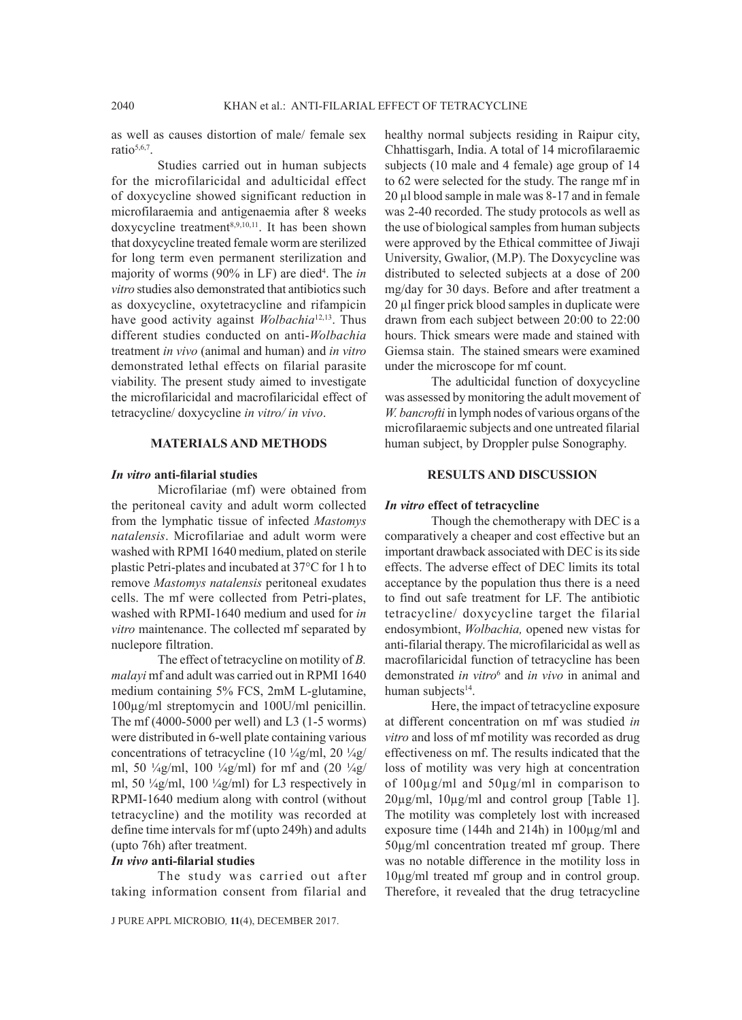as well as causes distortion of male/ female sex ratio $5,6,7$ .

Studies carried out in human subjects for the microfilaricidal and adulticidal effect of doxycycline showed significant reduction in microfilaraemia and antigenaemia after 8 weeks doxycycline treatment<sup>8,9,10,11</sup>. It has been shown that doxycycline treated female worm are sterilized for long term even permanent sterilization and majority of worms (90% in LF) are died<sup>4</sup>. The *in vitro* studies also demonstrated that antibiotics such as doxycycline, oxytetracycline and rifampicin have good activity against *Wolbachia*12,13. Thus different studies conducted on anti-*Wolbachia* treatment *in vivo* (animal and human) and *in vitro* demonstrated lethal effects on filarial parasite viability. The present study aimed to investigate the microfilaricidal and macrofilaricidal effect of tetracycline/ doxycycline *in vitro/ in vivo*.

#### **MATERIALS AND METHODS**

## *In vitro* **anti-filarial studies**

Microfilariae (mf) were obtained from the peritoneal cavity and adult worm collected from the lymphatic tissue of infected *Mastomys natalensis*. Microfilariae and adult worm were washed with RPMI 1640 medium, plated on sterile plastic Petri-plates and incubated at 37°C for 1 h to remove *Mastomys natalensis* peritoneal exudates cells. The mf were collected from Petri-plates, washed with RPMI-1640 medium and used for *in vitro* maintenance. The collected mf separated by nuclepore filtration.

The effect of tetracycline on motility of *B. malayi* mf and adult was carried out in RPMI 1640 medium containing 5% FCS, 2mM L-glutamine, 100µg/ml streptomycin and 100U/ml penicillin. The mf (4000-5000 per well) and L3 (1-5 worms) were distributed in 6-well plate containing various concentrations of tetracycline (10  $\frac{1}{4}$ g/ml, 20  $\frac{1}{4}$ g/ ml, 50  $\frac{1}{4}$ g/ml, 100  $\frac{1}{4}$ g/ml) for mf and (20  $\frac{1}{4}$ g/ ml, 50 ¼g/ml, 100 ¼g/ml) for L3 respectively in RPMI-1640 medium along with control (without tetracycline) and the motility was recorded at define time intervals for mf (upto 249h) and adults (upto 76h) after treatment.

#### *In vivo* **anti-filarial studies**

The study was carried out after taking information consent from filarial and

healthy normal subjects residing in Raipur city, Chhattisgarh, India. A total of 14 microfilaraemic subjects (10 male and 4 female) age group of 14 to 62 were selected for the study. The range mf in 20 µl blood sample in male was 8-17 and in female was 2-40 recorded. The study protocols as well as the use of biological samples from human subjects were approved by the Ethical committee of Jiwaji University, Gwalior, (M.P). The Doxycycline was distributed to selected subjects at a dose of 200 mg/day for 30 days. Before and after treatment a 20 µl finger prick blood samples in duplicate were drawn from each subject between 20:00 to 22:00 hours. Thick smears were made and stained with Giemsa stain. The stained smears were examined under the microscope for mf count.

The adulticidal function of doxycycline was assessed by monitoring the adult movement of *W. bancrofti* in lymph nodes of various organs of the microfilaraemic subjects and one untreated filarial human subject, by Droppler pulse Sonography.

## **RESULTS AND DISCUSSION**

### *In vitro* **effect of tetracycline**

Though the chemotherapy with DEC is a comparatively a cheaper and cost effective but an important drawback associated with DEC is its side effects. The adverse effect of DEC limits its total acceptance by the population thus there is a need to find out safe treatment for LF. The antibiotic tetracycline/ doxycycline target the filarial endosymbiont, *Wolbachia,* opened new vistas for anti-filarial therapy. The microfilaricidal as well as macrofilaricidal function of tetracycline has been demonstrated *in vitro*<sup>6</sup> and *in vivo* in animal and human subjects $14$ .

Here, the impact of tetracycline exposure at different concentration on mf was studied *in vitro* and loss of mf motility was recorded as drug effectiveness on mf. The results indicated that the loss of motility was very high at concentration of 100µg/ml and 50µg/ml in comparison to 20µg/ml, 10µg/ml and control group [Table 1]. The motility was completely lost with increased exposure time (144h and 214h) in 100µg/ml and 50µg/ml concentration treated mf group. There was no notable difference in the motility loss in 10µg/ml treated mf group and in control group. Therefore, it revealed that the drug tetracycline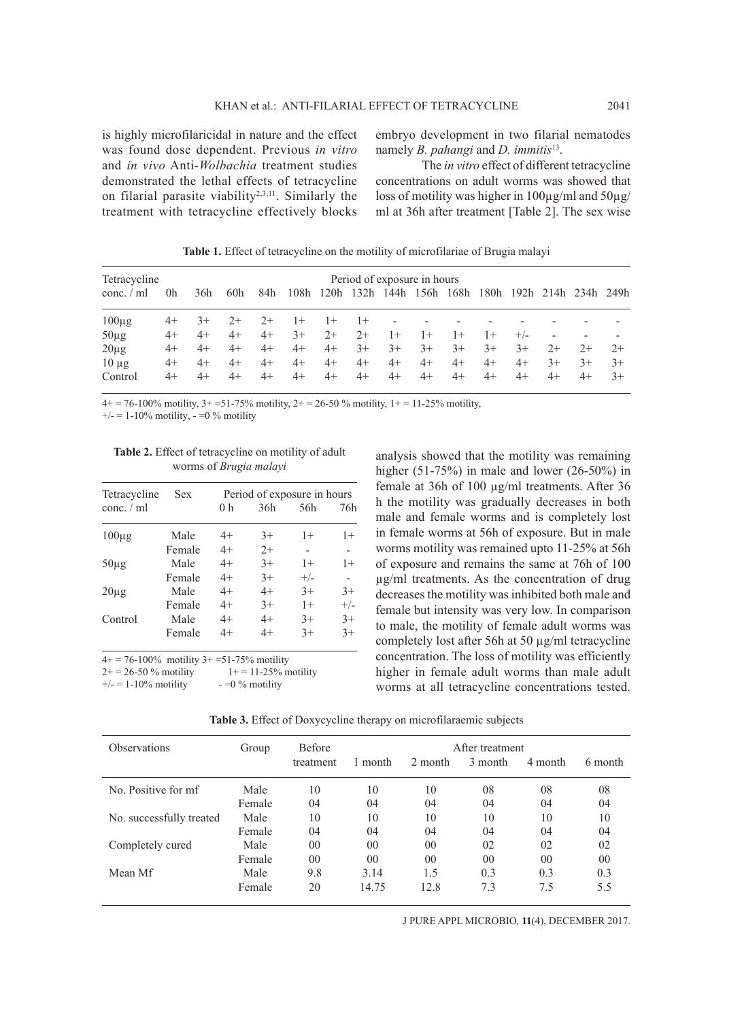is highly microfilaricidal in nature and the effect was found dose dependent. Previous *in vitro* and *in vivo* Anti-*Wolbachia* treatment studies demonstrated the lethal effects of tetracycline on filarial parasite viability<sup>2,3,11</sup>. Similarly the treatment with tetracycline effectively blocks embryo development in two filarial nematodes namely *B. pahangi* and *D. immitis*13.

The *in vitro* effect of different tetracycline concentrations on adult worms was showed that loss of motility was higher in 100µg/ml and 50µg/ ml at 36h after treatment [Table 2]. The sex wise

Tetracycline Period of exposure in hours conc. / ml 0h 36h 60h 84h 108h 120h 132h 144h 156h 168h 180h 192h 214h 234h 249h  $100\mu$ g 4+ 3+ 2+ 2+ 1+ 1+ 1+ - - - - - - - - -50µg 4+ 4+ 4+ 4+ 3+ 2+ 2+ 1+ 1+ 1+ 1+ +/- - - - 20µg 4+ 4+ 4+ 4+ 4+ 4+ 3+ 3+ 3+ 3+ 3+ 3+ 2+ 2+ 2+ 10 µg 4+ 4+ 4+ 4+ 4+ 4+ 4+ 4+ 4+ 4+ 4+ 4+ 3+ 3+ 3+ Control 4+ 4+ 4+ 4+ 4+ 4+ 4+ 4+ 4+ 4+ 4+ 4+ 4+ 4+ 3+

**Table 1.** Effect of tetracycline on the motility of microfilariae of Brugia malayi

 $4+ = 76-100\%$  motility,  $3+ = 51-75\%$  motility,  $2+ = 26-50\%$  motility,  $1+ = 11-25\%$  motility,

 $+/- = 1-10\%$  motility,  $- =0\%$  motility

**Table 2.** Effect of tetracycline on motility of adult worms of *Brugia malayi*

| Tetracycline | <b>Sex</b> | Period of exposure in hours |      |       |                |  |
|--------------|------------|-----------------------------|------|-------|----------------|--|
| conc. $/$ ml |            | 0 h                         | 36h  | 56h   | 76h            |  |
| $100\mu$ g   | Male       | $4+$                        | $3+$ | $1+$  | $1+$           |  |
|              | Female     | $4+$                        | $2+$ |       | $\overline{a}$ |  |
| $50\mu$ g    | Male       | $4+$                        | $3+$ | $1+$  | $1+$           |  |
|              | Female     | $4+$                        | $3+$ | $+/-$ |                |  |
| $20\mu$ g    | Male       | $4+$                        | $4+$ | $3+$  | $3+$           |  |
|              | Female     | $4+$                        | $3+$ | $1+$  | $+/-$          |  |
| Control      | Male       | $4+$                        | $4+$ | $3+$  | $3+$           |  |
|              | Female     | $4+$                        | $4+$ | $3+$  | $3+$           |  |

 $4+ = 76-100\%$  motility  $3+ = 51-75\%$  motility

 $2+ = 26-50$  % motility  $1+ = 11-25$ % motility

 $+/- = 1-10\%$  motility  $- =0\%$  motility

analysis showed that the motility was remaining higher  $(51-75%)$  in male and lower  $(26-50%)$  in female at 36h of 100 µg/ml treatments. After 36 h the motility was gradually decreases in both male and female worms and is completely lost in female worms at 56h of exposure. But in male worms motility was remained upto 11-25% at 56h of exposure and remains the same at 76h of 100 µg/ml treatments. As the concentration of drug decreases the motility was inhibited both male and female but intensity was very low. In comparison to male, the motility of female adult worms was completely lost after 56h at 50 µg/ml tetracycline concentration. The loss of motility was efficiently higher in female adult worms than male adult worms at all tetracycline concentrations tested.

**Table 3.** Effect of Doxycycline therapy on microfilaraemic subjects

| <b>Observations</b>      | Group  | <b>Before</b>  | After treatment |                |                |                 |         |
|--------------------------|--------|----------------|-----------------|----------------|----------------|-----------------|---------|
|                          |        | treatment      | 1 month         | 2 month        | 3 month        | 4 month         | 6 month |
| No. Positive for mf      | Male   | 10             | 10              | 10             | 08             | 08              | 08      |
|                          | Female | 04             | 04              | 04             | 04             | 04              | 04      |
| No. successfully treated | Male   | 10             | 10              | 10             | 10             | 10              | 10      |
|                          | Female | 04             | 04              | 04             | 04             | 04              | 04      |
| Completely cured         | Male   | 0 <sub>0</sub> | 0 <sub>0</sub>  | 0 <sub>0</sub> | 02             | 02              | 02      |
|                          | Female | 0 <sub>0</sub> | 00              | 0 <sub>0</sub> | 0 <sup>0</sup> | 00 <sup>2</sup> | 00      |
| Mean Mf                  | Male   | 9.8            | 3.14            | 1.5            | 0.3            | 0.3             | 0.3     |
|                          | Female | 20             | 14.75           | 12.8           | 7.3            | 7.5             | 5.5     |

J PURE APPL MICROBIO*,* **11**(4), DECEMBER 2017.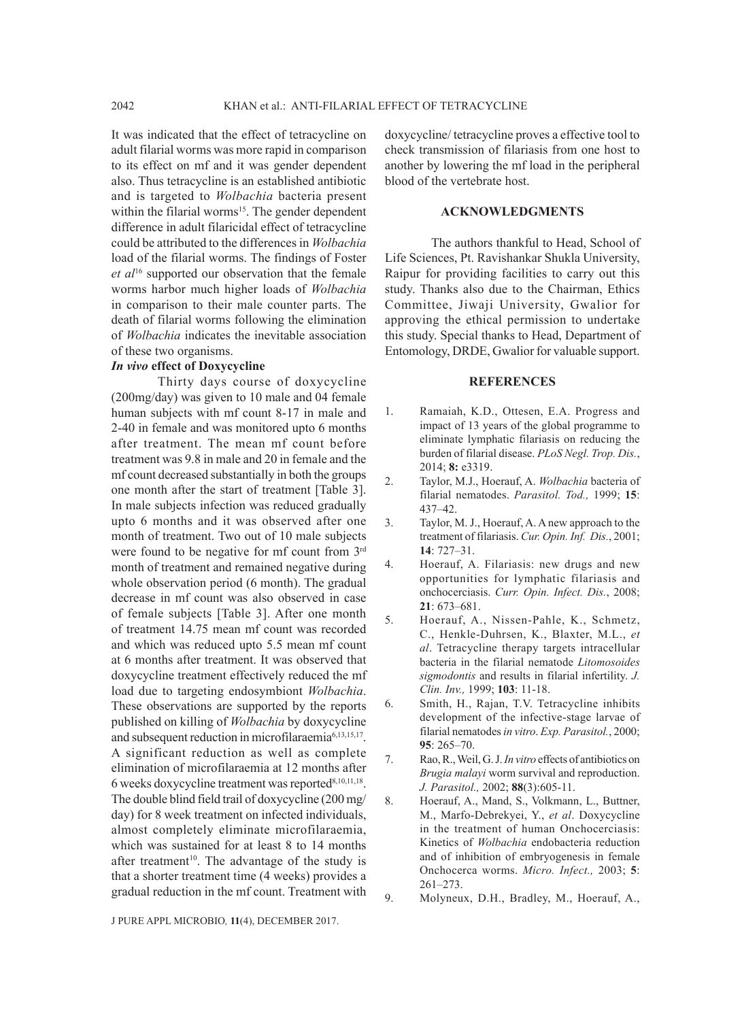It was indicated that the effect of tetracycline on adult filarial worms was more rapid in comparison to its effect on mf and it was gender dependent also. Thus tetracycline is an established antibiotic and is targeted to *Wolbachia* bacteria present within the filarial worms<sup>15</sup>. The gender dependent difference in adult filaricidal effect of tetracycline could be attributed to the differences in *Wolbachia* load of the filarial worms. The findings of Foster *et al*16 supported our observation that the female worms harbor much higher loads of *Wolbachia* in comparison to their male counter parts. The death of filarial worms following the elimination of *Wolbachia* indicates the inevitable association of these two organisms.

#### *In vivo* **effect of Doxycycline**

Thirty days course of doxycycline (200mg/day) was given to 10 male and 04 female human subjects with mf count 8-17 in male and 2-40 in female and was monitored upto 6 months after treatment. The mean mf count before treatment was 9.8 in male and 20 in female and the mf count decreased substantially in both the groups one month after the start of treatment [Table 3]. In male subjects infection was reduced gradually upto 6 months and it was observed after one month of treatment. Two out of 10 male subjects were found to be negative for mf count from 3rd month of treatment and remained negative during whole observation period (6 month). The gradual decrease in mf count was also observed in case of female subjects [Table 3]. After one month of treatment 14.75 mean mf count was recorded and which was reduced upto 5.5 mean mf count at 6 months after treatment. It was observed that doxycycline treatment effectively reduced the mf load due to targeting endosymbiont *Wolbachia*. These observations are supported by the reports published on killing of *Wolbachia* by doxycycline and subsequent reduction in microfilaraemia<sup>6,13,15,17</sup>. A significant reduction as well as complete elimination of microfilaraemia at 12 months after 6 weeks doxycycline treatment was reported<sup>8,10,11,18</sup>. The double blind field trail of doxycycline (200 mg/ day) for 8 week treatment on infected individuals, almost completely eliminate microfilaraemia, which was sustained for at least 8 to 14 months after treatment<sup>10</sup>. The advantage of the study is that a shorter treatment time (4 weeks) provides a gradual reduction in the mf count. Treatment with

doxycycline/ tetracycline proves a effective tool to check transmission of filariasis from one host to another by lowering the mf load in the peripheral blood of the vertebrate host.

## **ACKNOWLEDGMENTS**

The authors thankful to Head, School of Life Sciences, Pt. Ravishankar Shukla University, Raipur for providing facilities to carry out this study. Thanks also due to the Chairman, Ethics Committee, Jiwaji University, Gwalior for approving the ethical permission to undertake this study. Special thanks to Head, Department of Entomology, DRDE, Gwalior for valuable support.

## **REFERENCES**

- 1. Ramaiah, K.D., Ottesen, E.A. Progress and impact of 13 years of the global programme to eliminate lymphatic filariasis on reducing the burden of filarial disease. *PLoS Negl. Trop. Dis.*, 2014; **8:** e3319.
- 2. Taylor, M.J., Hoerauf, A. *Wolbachia* bacteria of filarial nematodes. *Parasitol. Tod.,* 1999; **15**: 437–42.
- 3. Taylor, M. J., Hoerauf, A. A new approach to the treatment of filariasis. *Cur. Opin. Inf. Dis.*, 2001; **14**: 727–31.
- 4. Hoerauf, A. Filariasis: new drugs and new opportunities for lymphatic filariasis and onchocerciasis. *Curr. Opin. Infect. Dis.*, 2008; **21**: 673–681.
- 5. Hoerauf, A., Nissen-Pahle, K., Schmetz, C., Henkle-Duhrsen, K., Blaxter, M.L., *et al*. Tetracycline therapy targets intracellular bacteria in the filarial nematode *Litomosoides sigmodontis* and results in filarial infertility. *J. Clin. Inv.,* 1999; **103**: 11-18.
- 6. Smith, H., Rajan, T.V. Tetracycline inhibits development of the infective-stage larvae of filarial nematodes *in vitro*. *Exp. Parasitol.*, 2000; **95**: 265–70.
- 7. Rao, R., Weil, G. J. *In vitro* effects of antibiotics on *Brugia malayi* worm survival and reproduction. *J. Parasitol.,* 2002; **88**(3):605-11.
- 8. Hoerauf, A., Mand, S., Volkmann, L., Buttner, M., Marfo-Debrekyei, Y., *et al*. Doxycycline in the treatment of human Onchocerciasis: Kinetics of *Wolbachia* endobacteria reduction and of inhibition of embryogenesis in female Onchocerca worms. *Micro. Infect.,* 2003; **5**: 261–273.

9. Molyneux, D.H., Bradley, M., Hoerauf, A.,

J PURE APPL MICROBIO*,* **11**(4), DECEMBER 2017.